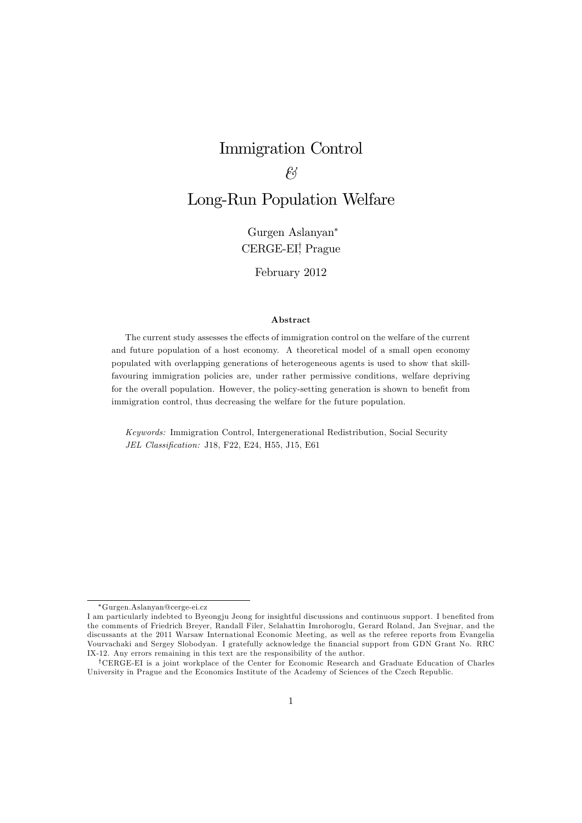# Immigration Control

# $\ell$ <sup>3</sup>

# Long-Run Population Welfare

Gurgen Aslanyan CERGE-EI<sup>†</sup>, Prague

#### February 2012

#### Abstract

The current study assesses the effects of immigration control on the welfare of the current and future population of a host economy. A theoretical model of a small open economy populated with overlapping generations of heterogeneous agents is used to show that skillfavouring immigration policies are, under rather permissive conditions, welfare depriving for the overall population. However, the policy-setting generation is shown to benefit from immigration control, thus decreasing the welfare for the future population.

Keywords: Immigration Control, Intergenerational Redistribution, Social Security JEL Classification: J18, F22, E24, H55, J15, E61

Gurgen.Aslanyan@cerge-ei.cz I

I am particularly indebted to Byeongju Jeong for insightful discussions and continuous support. I benefited from the comments of Friedrich Breyer, Randall Filer, Selahattin Imrohoroglu, Gerard Roland, Jan Svejnar, and the discussants at the 2011 Warsaw International Economic Meeting, as well as the referee reports from Evangelia Vourvachaki and Sergey Slobodyan. I gratefully acknowledge the Önancial support from GDN Grant No. RRC IX-12. Any errors remaining in this text are the responsibility of the author.

yCERGE-EI is a joint workplace of the Center for Economic Research and Graduate Education of Charles University in Prague and the Economics Institute of the Academy of Sciences of the Czech Republic.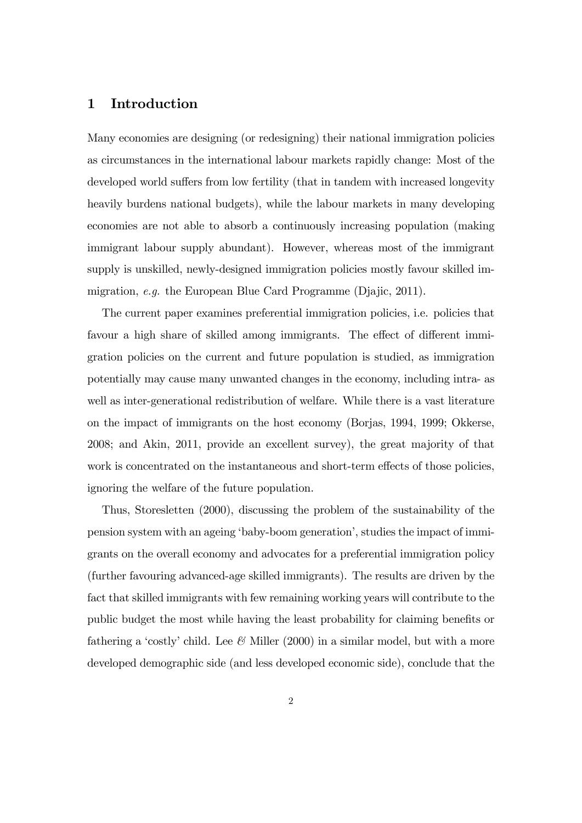## 1 Introduction

Many economies are designing (or redesigning) their national immigration policies as circumstances in the international labour markets rapidly change: Most of the developed world suffers from low fertility (that in tandem with increased longevity heavily burdens national budgets), while the labour markets in many developing economies are not able to absorb a continuously increasing population (making immigrant labour supply abundant). However, whereas most of the immigrant supply is unskilled, newly-designed immigration policies mostly favour skilled immigration, e.g. the European Blue Card Programme (Djajic, 2011).

The current paper examines preferential immigration policies, i.e. policies that favour a high share of skilled among immigrants. The effect of different immigration policies on the current and future population is studied, as immigration potentially may cause many unwanted changes in the economy, including intra- as well as inter-generational redistribution of welfare. While there is a vast literature on the impact of immigrants on the host economy (Borjas, 1994, 1999; Okkerse, 2008; and Akin, 2011, provide an excellent survey), the great majority of that work is concentrated on the instantaneous and short-term effects of those policies, ignoring the welfare of the future population.

Thus, Storesletten (2000), discussing the problem of the sustainability of the pension system with an ageing 'baby-boom generation', studies the impact of immigrants on the overall economy and advocates for a preferential immigration policy (further favouring advanced-age skilled immigrants). The results are driven by the fact that skilled immigrants with few remaining working years will contribute to the public budget the most while having the least probability for claiming benefits or fathering a 'costly' child. Lee  $\mathcal{C}$  Miller (2000) in a similar model, but with a more developed demographic side (and less developed economic side), conclude that the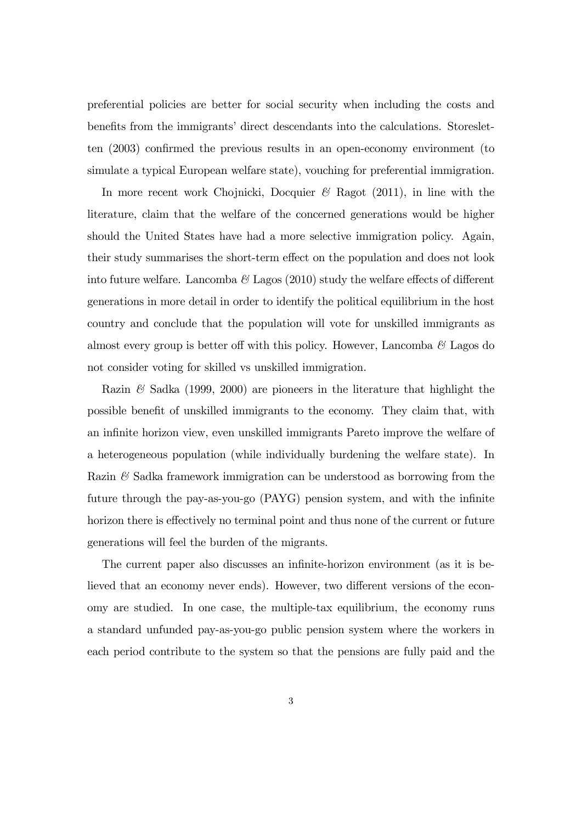preferential policies are better for social security when including the costs and benefits from the immigrants' direct descendants into the calculations. Storesletten  $(2003)$  confirmed the previous results in an open-economy environment (to simulate a typical European welfare state), vouching for preferential immigration.

In more recent work Chojnicki, Docquier  $\mathscr{C}$  Ragot (2011), in line with the literature, claim that the welfare of the concerned generations would be higher should the United States have had a more selective immigration policy. Again, their study summarises the short-term effect on the population and does not look into future welfare. Lancomba  $\mathcal{B}$  Lagos (2010) study the welfare effects of different generations in more detail in order to identify the political equilibrium in the host country and conclude that the population will vote for unskilled immigrants as almost every group is better off with this policy. However, Lancomba  $\mathscr{C}$  Lagos do not consider voting for skilled vs unskilled immigration.

Razin  $\mathscr$  Sadka (1999, 2000) are pioneers in the literature that highlight the possible benefit of unskilled immigrants to the economy. They claim that, with an infinite horizon view, even unskilled immigrants Pareto improve the welfare of a heterogeneous population (while individually burdening the welfare state). In Razin  $\mathcal{C}$  Sadka framework immigration can be understood as borrowing from the future through the pay-as-you-go (PAYG) pension system, and with the infinite horizon there is effectively no terminal point and thus none of the current or future generations will feel the burden of the migrants.

The current paper also discusses an infinite-horizon environment (as it is believed that an economy never ends). However, two different versions of the economy are studied. In one case, the multiple-tax equilibrium, the economy runs a standard unfunded pay-as-you-go public pension system where the workers in each period contribute to the system so that the pensions are fully paid and the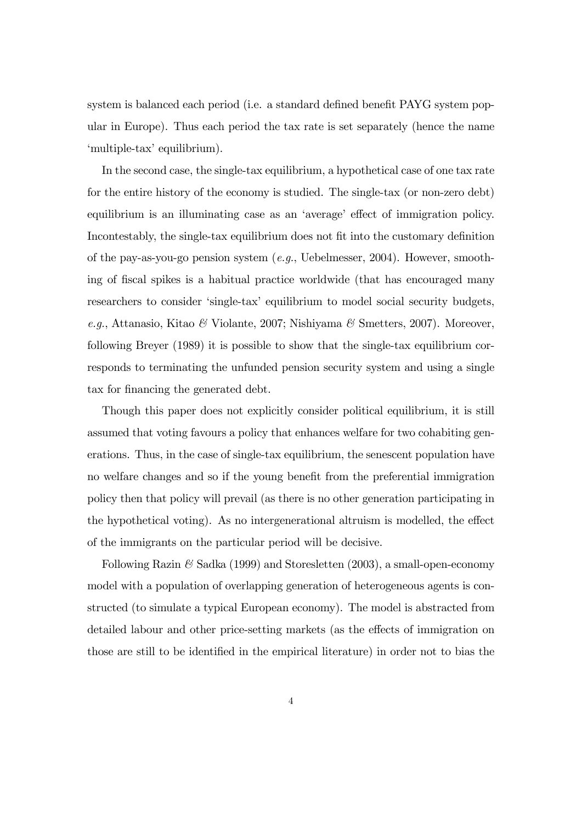system is balanced each period (i.e. a standard defined benefit PAYG system popular in Europe). Thus each period the tax rate is set separately (hence the name 'multiple-tax' equilibrium).

In the second case, the single-tax equilibrium, a hypothetical case of one tax rate for the entire history of the economy is studied. The single-tax (or non-zero debt) equilibrium is an illuminating case as an 'average' effect of immigration policy. Incontestably, the single-tax equilibrium does not fit into the customary definition of the pay-as-you-go pension system  $(e.g., Uebelmesser, 2004)$ . However, smoothing of Öscal spikes is a habitual practice worldwide (that has encouraged many researchers to consider 'single-tax' equilibrium to model social security budgets, e.g., Attanasio, Kitao & Violante, 2007; Nishiyama & Smetters, 2007). Moreover, following Breyer (1989) it is possible to show that the single-tax equilibrium corresponds to terminating the unfunded pension security system and using a single tax for financing the generated debt.

Though this paper does not explicitly consider political equilibrium, it is still assumed that voting favours a policy that enhances welfare for two cohabiting generations. Thus, in the case of single-tax equilibrium, the senescent population have no welfare changes and so if the young benefit from the preferential immigration policy then that policy will prevail (as there is no other generation participating in the hypothetical voting). As no intergenerational altruism is modelled, the effect of the immigrants on the particular period will be decisive.

Following Razin  $\mathcal{C}$  Sadka (1999) and Storesletten (2003), a small-open-economy model with a population of overlapping generation of heterogeneous agents is constructed (to simulate a typical European economy). The model is abstracted from detailed labour and other price-setting markets (as the effects of immigration on those are still to be identified in the empirical literature) in order not to bias the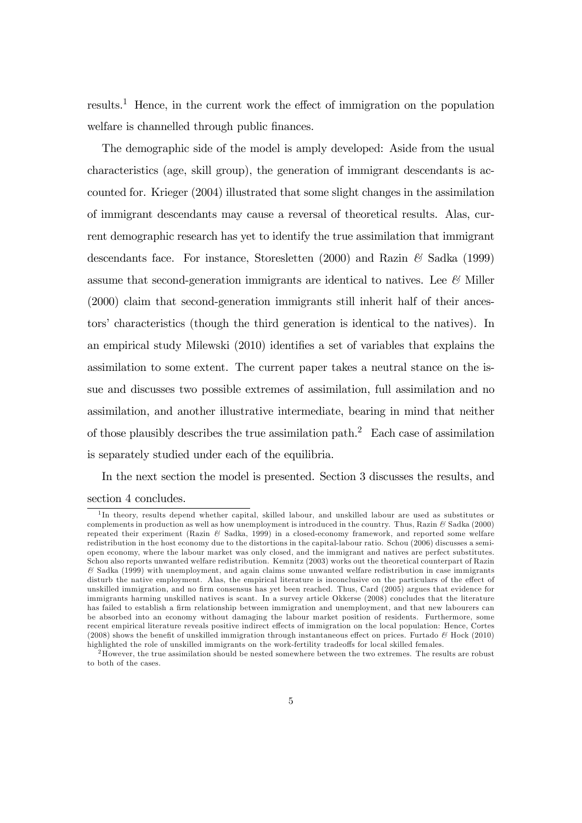results.<sup>1</sup> Hence, in the current work the effect of immigration on the population welfare is channelled through public finances.

The demographic side of the model is amply developed: Aside from the usual characteristics (age, skill group), the generation of immigrant descendants is accounted for. Krieger (2004) illustrated that some slight changes in the assimilation of immigrant descendants may cause a reversal of theoretical results. Alas, current demographic research has yet to identify the true assimilation that immigrant descendants face. For instance, Storesletten  $(2000)$  and Razin  $\mathscr$  Sadka  $(1999)$ assume that second-generation immigrants are identical to natives. Lee  $\mathcal{C}$  Miller (2000) claim that second-generation immigrants still inherit half of their ancestors' characteristics (though the third generation is identical to the natives). In an empirical study Milewski  $(2010)$  identifies a set of variables that explains the assimilation to some extent. The current paper takes a neutral stance on the issue and discusses two possible extremes of assimilation, full assimilation and no assimilation, and another illustrative intermediate, bearing in mind that neither of those plausibly describes the true assimilation path.<sup>2</sup> Each case of assimilation is separately studied under each of the equilibria.

In the next section the model is presented. Section 3 discusses the results, and

#### section 4 concludes.

<sup>&</sup>lt;sup>1</sup>In theory, results depend whether capital, skilled labour, and unskilled labour are used as substitutes or complements in production as well as how unemployment is introduced in the country. Thus, Razin  $\mathcal{C}$  Sadka (2000) repeated their experiment (Razin & Sadka, 1999) in a closed-economy framework, and reported some welfare redistribution in the host economy due to the distortions in the capital-labour ratio. Schou (2006) discusses a semiopen economy, where the labour market was only closed, and the immigrant and natives are perfect substitutes. Schou also reports unwanted welfare redistribution. Kemnitz (2003) works out the theoretical counterpart of Razin & Sadka (1999) with unemployment, and again claims some unwanted welfare redistribution in case immigrants disturb the native employment. Alas, the empirical literature is inconclusive on the particulars of the effect of unskilled immigration, and no firm consensus has yet been reached. Thus, Card (2005) argues that evidence for immigrants harming unskilled natives is scant. In a survey article Okkerse (2008) concludes that the literature has failed to establish a firm relationship between immigration and unemployment, and that new labourers can be absorbed into an economy without damaging the labour market position of residents. Furthermore, some recent empirical literature reveals positive indirect effects of immigration on the local population: Hence, Cortes (2008) shows the benefit of unskilled immigration through instantaneous effect on prices. Furtado  $\mathscr B$  Hock (2010) highlighted the role of unskilled immigrants on the work-fertility tradeoffs for local skilled females.

 $2<sup>2</sup>$ However, the true assimilation should be nested somewhere between the two extremes. The results are robust to both of the cases.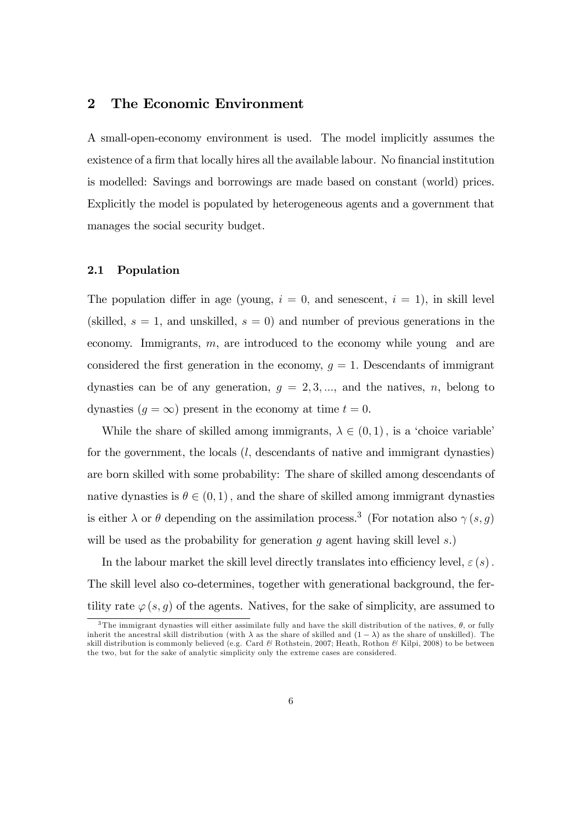# 2 The Economic Environment

A small-open-economy environment is used. The model implicitly assumes the existence of a firm that locally hires all the available labour. No financial institution is modelled: Savings and borrowings are made based on constant (world) prices. Explicitly the model is populated by heterogeneous agents and a government that manages the social security budget.

#### 2.1 Population

The population differ in age (young,  $i = 0$ , and senescent,  $i = 1$ ), in skill level (skilled,  $s = 1$ , and unskilled,  $s = 0$ ) and number of previous generations in the economy. Immigrants,  $m$ , are introduced to the economy while young and are considered the first generation in the economy,  $g = 1$ . Descendants of immigrant dynasties can be of any generation,  $g = 2, 3, \dots$ , and the natives, n, belong to dynasties  $(g = \infty)$  present in the economy at time  $t = 0$ .

While the share of skilled among immigrants,  $\lambda \in (0,1)$ , is a 'choice variable' for the government, the locals  $(l,$  descendants of native and immigrant dynasties) are born skilled with some probability: The share of skilled among descendants of native dynasties is  $\theta \in (0, 1)$ , and the share of skilled among immigrant dynasties is either  $\lambda$  or  $\theta$  depending on the assimilation process.<sup>3</sup> (For notation also  $\gamma(s, g)$ ) will be used as the probability for generation q agent having skill level  $s$ .)

In the labour market the skill level directly translates into efficiency level,  $\varepsilon(s)$ . The skill level also co-determines, together with generational background, the fertility rate  $\varphi(s, g)$  of the agents. Natives, for the sake of simplicity, are assumed to

<sup>&</sup>lt;sup>3</sup>The immigrant dynasties will either assimilate fully and have the skill distribution of the natives,  $\theta$ , or fully inherit the ancestral skill distribution (with  $\lambda$  as the share of skilled and  $(1 - \lambda)$  as the share of unskilled). The skill distribution is commonly believed (e.g. Card  $\mathcal C$  Rothstein, 2007; Heath, Rothon  $\mathcal C$  Kilpi, 2008) to be between the two, but for the sake of analytic simplicity only the extreme cases are considered.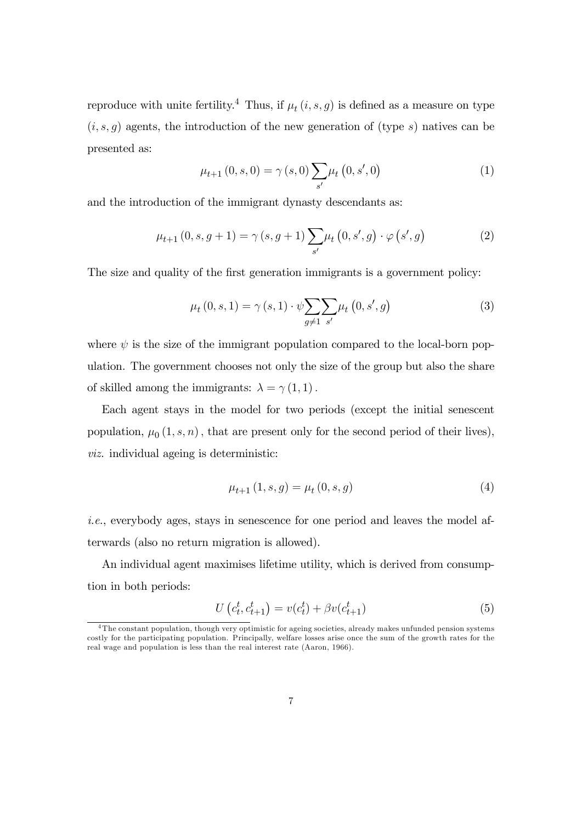reproduce with unite fertility.<sup>4</sup> Thus, if  $\mu_t(i, s, g)$  is defined as a measure on type  $(i, s, g)$  agents, the introduction of the new generation of (type s) natives can be presented as:

$$
\mu_{t+1}(0, s, 0) = \gamma(s, 0) \sum_{s'} \mu_t(0, s', 0)
$$
\n(1)

and the introduction of the immigrant dynasty descendants as:

$$
\mu_{t+1}(0, s, g+1) = \gamma(s, g+1) \sum_{s'} \mu_t(0, s', g) \cdot \varphi(s', g)
$$
 (2)

The size and quality of the first generation immigrants is a government policy:

$$
\mu_t(0, s, 1) = \gamma(s, 1) \cdot \psi \sum_{g \neq 1} \sum_{s'} \mu_t(0, s', g)
$$
\n(3)

where  $\psi$  is the size of the immigrant population compared to the local-born population. The government chooses not only the size of the group but also the share of skilled among the immigrants:  $\lambda = \gamma(1, 1)$ .

Each agent stays in the model for two periods (except the initial senescent population,  $\mu_0(1, s, n)$ , that are present only for the second period of their lives), viz. individual ageing is deterministic:

$$
\mu_{t+1}(1,s,g) = \mu_t(0,s,g) \tag{4}
$$

i.e., everybody ages, stays in senescence for one period and leaves the model afterwards (also no return migration is allowed).

An individual agent maximises lifetime utility, which is derived from consumption in both periods:

$$
U(c_t^t, c_{t+1}^t) = v(c_t^t) + \beta v(c_{t+1}^t)
$$
\n(5)

<sup>&</sup>lt;sup>4</sup>The constant population, though very optimistic for ageing societies, already makes unfunded pension systems costly for the participating population. Principally, welfare losses arise once the sum of the growth rates for the real wage and population is less than the real interest rate (Aaron, 1966).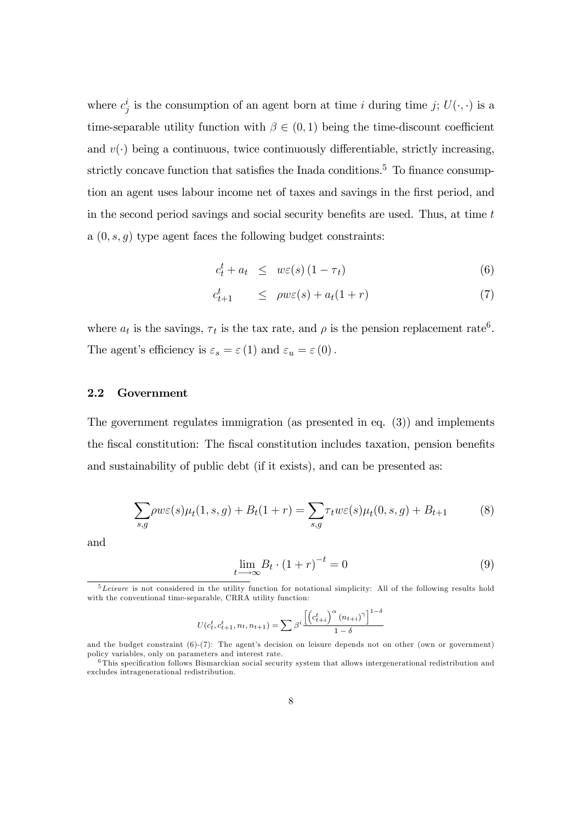where  $c_j^i$  is the consumption of an agent born at time *i* during time *j*;  $U(\cdot, \cdot)$  is a time-separable utility function with  $\beta \in (0,1)$  being the time-discount coefficient and  $v(\cdot)$  being a continuous, twice continuously differentiable, strictly increasing, strictly concave function that satisfies the Inada conditions.<sup>5</sup> To finance consumption an agent uses labour income net of taxes and savings in the first period, and in the second period savings and social security benefits are used. Thus, at time  $t$ a  $(0, s, g)$  type agent faces the following budget constraints:

$$
c_t^t + a_t \leq w\varepsilon(s) \left(1 - \tau_t\right) \tag{6}
$$

$$
c_{t+1}^t \le \rho w \varepsilon(s) + a_t(1+r) \tag{7}
$$

where  $a_t$  is the savings,  $\tau_t$  is the tax rate, and  $\rho$  is the pension replacement rate<sup>6</sup>. The agent's efficiency is  $\varepsilon_s = \varepsilon(1)$  and  $\varepsilon_u = \varepsilon(0)$ .

### 2.2 Government

The government regulates immigration (as presented in eq. (3)) and implements the fiscal constitution: The fiscal constitution includes taxation, pension benefits and sustainability of public debt (if it exists), and can be presented as:

$$
\sum_{s,g} \rho w \varepsilon(s) \mu_t(1,s,g) + B_t(1+r) = \sum_{s,g} \tau_t w \varepsilon(s) \mu_t(0,s,g) + B_{t+1}
$$
 (8)

and

$$
\lim_{t \to \infty} B_t \cdot (1+r)^{-t} = 0 \tag{9}
$$

$$
U(c_t^t, c_{t+1}^t, n_t, n_{t+1}) = \sum \beta^i \frac{\left[ \left( c_{t+i}^t \right)^{\alpha} (n_{t+i})^{\gamma} \right]^{1-\delta}}{1-\delta}
$$

 $5$ Leisure is not considered in the utility function for notational simplicity: All of the following results hold with the conventional time-separable, CRRA utility function:

and the budget constraint  $(6)-(7)$ : The agent's decision on leisure depends not on other (own or government) policy variables, only on parameters and interest rate.

 $6$ This specification follows Bismarckian social security system that allows intergenerational redistribution and excludes intragenerational redistribution.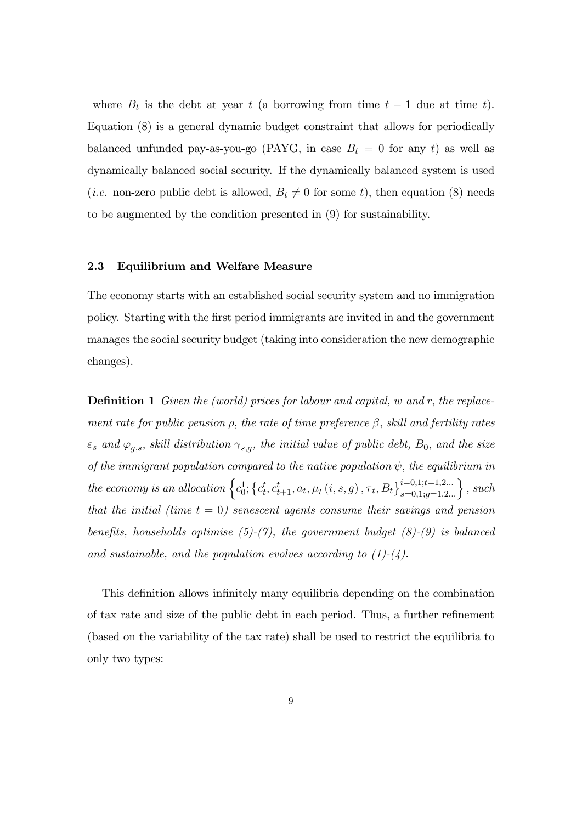where  $B_t$  is the debt at year t (a borrowing from time  $t-1$  due at time t). Equation (8) is a general dynamic budget constraint that allows for periodically balanced unfunded pay-as-you-go (PAYG, in case  $B_t = 0$  for any t) as well as dynamically balanced social security. If the dynamically balanced system is used (*i.e.* non-zero public debt is allowed,  $B_t \neq 0$  for some t), then equation (8) needs to be augmented by the condition presented in (9) for sustainability.

#### 2.3 Equilibrium and Welfare Measure

The economy starts with an established social security system and no immigration policy. Starting with the Örst period immigrants are invited in and the government manages the social security budget (taking into consideration the new demographic changes).

**Definition 1** Given the (world) prices for labour and capital, w and r, the replacement rate for public pension  $\rho$ , the rate of time preference  $\beta$ , skill and fertility rates  $\varepsilon_s$  and  $\varphi_{a,s}$ , skill distribution  $\gamma_{s,a}$ , the initial value of public debt,  $B_0$ , and the size of the immigrant population compared to the native population  $\psi$ , the equilibrium in the economy is an allocation  $\left\{c_0^1; \left\{c_t^t, c_{t+1}^t, a_t, \mu_t (i, s, g), \tau_t, B_t\right\}_{s=0,1; g=1,2...}^{i=0,1; t=1,2...}\right\}$ , such that the initial (time  $t = 0$ ) senescent agents consume their savings and pension benefits, households optimise (5)-(7), the government budget (8)-(9) is balanced and sustainable, and the population evolves according to  $(1)-(4)$ .

This definition allows infinitely many equilibria depending on the combination of tax rate and size of the public debt in each period. Thus, a further refinement (based on the variability of the tax rate) shall be used to restrict the equilibria to only two types: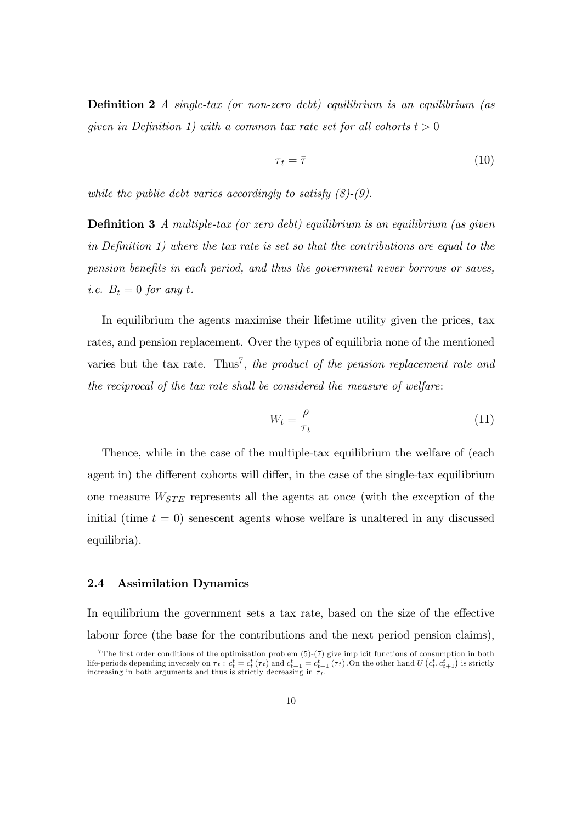**Definition 2** A single-tax (or non-zero debt) equilibrium is an equilibrium (as given in Definition 1) with a common tax rate set for all cohorts  $t > 0$ 

$$
\tau_t = \bar{\tau} \tag{10}
$$

while the public debt varies accordingly to satisfy  $(8)-(9)$ .

**Definition 3** A multiple-tax (or zero debt) equilibrium is an equilibrium (as given in Definition 1) where the tax rate is set so that the contributions are equal to the pension benefits in each period, and thus the government never borrows or saves, *i.e.*  $B_t = 0$  for any t.

In equilibrium the agents maximise their lifetime utility given the prices, tax rates, and pension replacement. Over the types of equilibria none of the mentioned varies but the tax rate. Thus<sup>7</sup>, the product of the pension replacement rate and the reciprocal of the tax rate shall be considered the measure of welfare:

$$
W_t = \frac{\rho}{\tau_t} \tag{11}
$$

Thence, while in the case of the multiple-tax equilibrium the welfare of (each agent in) the different cohorts will differ, in the case of the single-tax equilibrium one measure  $W_{STE}$  represents all the agents at once (with the exception of the initial (time  $t = 0$ ) senescent agents whose welfare is unaltered in any discussed equilibria).

### 2.4 Assimilation Dynamics

In equilibrium the government sets a tax rate, based on the size of the effective labour force (the base for the contributions and the next period pension claims),

<sup>&</sup>lt;sup>7</sup>The first order conditions of the optimisation problem  $(5)-(7)$  give implicit functions of consumption in both life-periods depending inversely on  $\tau_t$  :  $c_t^t = c_t^t(\tau_t)$  and  $c_{t+1}^t = c_{t+1}^t(\tau_t)$ . On the other hand  $U(c_t^t, c_{t+1}^t)$  is strictly increasing in both arguments and thus is strictly decreasing in  $\tau_t$ .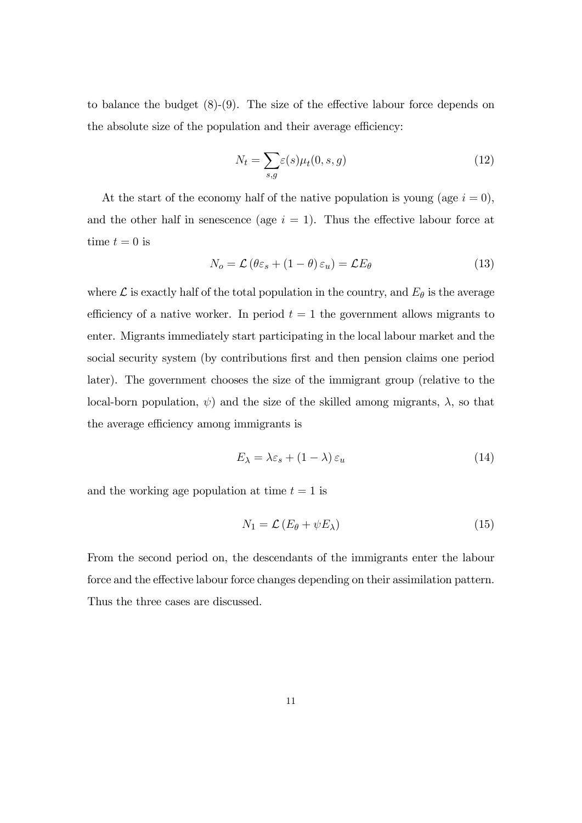to balance the budget  $(8)-(9)$ . The size of the effective labour force depends on the absolute size of the population and their average efficiency:

$$
N_t = \sum_{s,g} \varepsilon(s) \mu_t(0, s, g) \tag{12}
$$

At the start of the economy half of the native population is young (age  $i = 0$ ), and the other half in senescence (age  $i = 1$ ). Thus the effective labour force at time  $t = 0$  is

$$
N_o = \mathcal{L} \left( \theta \varepsilon_s + (1 - \theta) \varepsilon_u \right) = \mathcal{L} E_\theta \tag{13}
$$

where  $\mathcal L$  is exactly half of the total population in the country, and  $E_\theta$  is the average efficiency of a native worker. In period  $t = 1$  the government allows migrants to enter. Migrants immediately start participating in the local labour market and the social security system (by contributions first and then pension claims one period later). The government chooses the size of the immigrant group (relative to the local-born population,  $\psi$  and the size of the skilled among migrants,  $\lambda$ , so that the average efficiency among immigrants is

$$
E_{\lambda} = \lambda \varepsilon_s + (1 - \lambda) \varepsilon_u \tag{14}
$$

and the working age population at time  $t = 1$  is

$$
N_1 = \mathcal{L} \left( E_\theta + \psi E_\lambda \right) \tag{15}
$$

From the second period on, the descendants of the immigrants enter the labour force and the effective labour force changes depending on their assimilation pattern. Thus the three cases are discussed.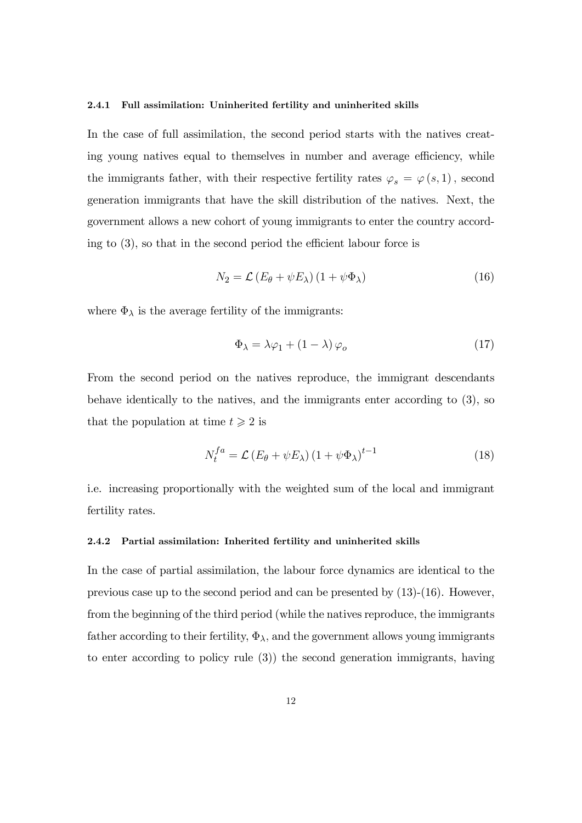#### 2.4.1 Full assimilation: Uninherited fertility and uninherited skills

In the case of full assimilation, the second period starts with the natives creating young natives equal to themselves in number and average efficiency, while the immigrants father, with their respective fertility rates  $\varphi_s = \varphi(s, 1)$ , second generation immigrants that have the skill distribution of the natives. Next, the government allows a new cohort of young immigrants to enter the country according to  $(3)$ , so that in the second period the efficient labour force is

$$
N_2 = \mathcal{L} \left( E_\theta + \psi E_\lambda \right) \left( 1 + \psi \Phi_\lambda \right) \tag{16}
$$

where  $\Phi_{\lambda}$  is the average fertility of the immigrants:

$$
\Phi_{\lambda} = \lambda \varphi_1 + (1 - \lambda) \varphi_o \tag{17}
$$

From the second period on the natives reproduce, the immigrant descendants behave identically to the natives, and the immigrants enter according to (3), so that the population at time  $t \geqslant 2$  is

$$
N_t^{fa} = \mathcal{L} \left( E_\theta + \psi E_\lambda \right) \left( 1 + \psi \Phi_\lambda \right)^{t-1} \tag{18}
$$

i.e. increasing proportionally with the weighted sum of the local and immigrant fertility rates.

#### 2.4.2 Partial assimilation: Inherited fertility and uninherited skills

In the case of partial assimilation, the labour force dynamics are identical to the previous case up to the second period and can be presented by (13)-(16). However, from the beginning of the third period (while the natives reproduce, the immigrants father according to their fertility,  $\Phi_{\lambda}$ , and the government allows young immigrants to enter according to policy rule (3)) the second generation immigrants, having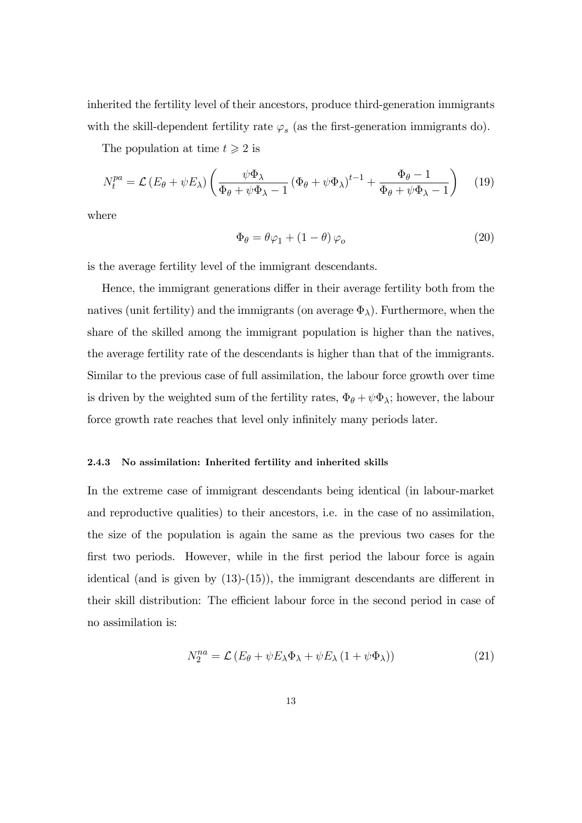inherited the fertility level of their ancestors, produce third-generation immigrants with the skill-dependent fertility rate  $\varphi_s$  (as the first-generation immigrants do).

The population at time  $t \geq 2$  is

$$
N_t^{pa} = \mathcal{L} \left( E_\theta + \psi E_\lambda \right) \left( \frac{\psi \Phi_\lambda}{\Phi_\theta + \psi \Phi_\lambda - 1} \left( \Phi_\theta + \psi \Phi_\lambda \right)^{t-1} + \frac{\Phi_\theta - 1}{\Phi_\theta + \psi \Phi_\lambda - 1} \right) \tag{19}
$$

where

$$
\Phi_{\theta} = \theta \varphi_1 + (1 - \theta) \varphi_o \tag{20}
$$

is the average fertility level of the immigrant descendants.

Hence, the immigrant generations differ in their average fertility both from the natives (unit fertility) and the immigrants (on average  $\Phi_{\lambda}$ ). Furthermore, when the share of the skilled among the immigrant population is higher than the natives, the average fertility rate of the descendants is higher than that of the immigrants. Similar to the previous case of full assimilation, the labour force growth over time is driven by the weighted sum of the fertility rates,  $\Phi_{\theta} + \psi \Phi_{\lambda}$ ; however, the labour force growth rate reaches that level only infinitely many periods later.

#### 2.4.3 No assimilation: Inherited fertility and inherited skills

In the extreme case of immigrant descendants being identical (in labour-market and reproductive qualities) to their ancestors, i.e. in the case of no assimilation, the size of the population is again the same as the previous two cases for the first two periods. However, while in the first period the labour force is again identical (and is given by  $(13)-(15)$ ), the immigrant descendants are different in their skill distribution: The efficient labour force in the second period in case of no assimilation is:

$$
N_2^{na} = \mathcal{L} \left( E_\theta + \psi E_\lambda \Phi_\lambda + \psi E_\lambda \left( 1 + \psi \Phi_\lambda \right) \right) \tag{21}
$$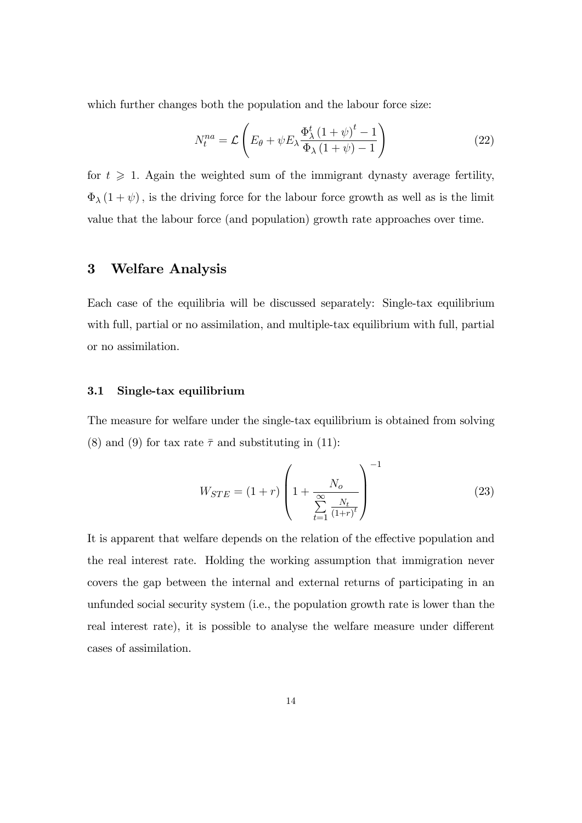which further changes both the population and the labour force size:

$$
N_t^{na} = \mathcal{L}\left(E_\theta + \psi E_\lambda \frac{\Phi_\lambda^t \left(1 + \psi\right)^t - 1}{\Phi_\lambda \left(1 + \psi\right) - 1}\right) \tag{22}
$$

for  $t \geq 1$ . Again the weighted sum of the immigrant dynasty average fertility,  $\Phi_{\lambda}(1 + \psi)$ , is the driving force for the labour force growth as well as is the limit value that the labour force (and population) growth rate approaches over time.

# 3 Welfare Analysis

Each case of the equilibria will be discussed separately: Single-tax equilibrium with full, partial or no assimilation, and multiple-tax equilibrium with full, partial or no assimilation.

#### 3.1 Single-tax equilibrium

The measure for welfare under the single-tax equilibrium is obtained from solving (8) and (9) for tax rate  $\bar{\tau}$  and substituting in (11):

$$
W_{STE} = (1+r) \left( 1 + \frac{N_o}{\sum_{t=1}^{\infty} \frac{N_t}{(1+r)^t}} \right)^{-1}
$$
 (23)

It is apparent that welfare depends on the relation of the effective population and the real interest rate. Holding the working assumption that immigration never covers the gap between the internal and external returns of participating in an unfunded social security system (i.e., the population growth rate is lower than the real interest rate), it is possible to analyse the welfare measure under different cases of assimilation.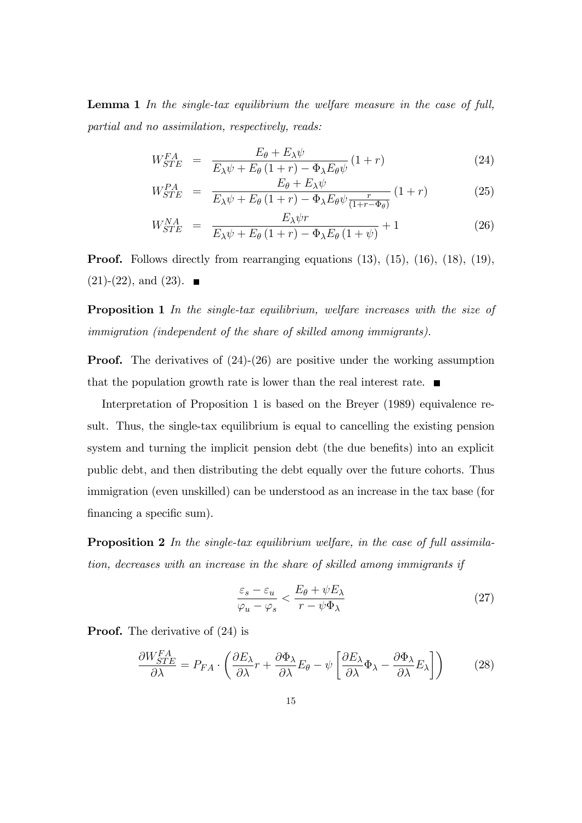Lemma 1 In the single-tax equilibrium the welfare measure in the case of full, partial and no assimilation, respectively, reads:

$$
W_{STE}^{FA} = \frac{E_{\theta} + E_{\lambda}\psi}{E_{\lambda}\psi + E_{\theta}(1+r) - \Phi_{\lambda}E_{\theta}\psi}(1+r)
$$
(24)

$$
W_{STE}^{PA} = \frac{E_{\theta} + E_{\lambda}\psi}{E_{\lambda}\psi + E_{\theta}\left(1+r\right) - \Phi_{\lambda}E_{\theta}\psi\frac{r}{\left(1+r-\Phi_{\theta}\right)}}\left(1+r\right) \tag{25}
$$

$$
W_{STE}^{NA} = \frac{E_{\lambda}\psi r}{E_{\lambda}\psi + E_{\theta}\left(1+r\right) - \Phi_{\lambda}E_{\theta}\left(1+\psi\right)} + 1 \tag{26}
$$

Proof. Follows directly from rearranging equations (13), (15), (16), (18), (19),  $(21)-(22)$ , and  $(23)$ .

Proposition 1 In the single-tax equilibrium, welfare increases with the size of immigration (independent of the share of skilled among immigrants).

**Proof.** The derivatives of  $(24)-(26)$  are positive under the working assumption that the population growth rate is lower than the real interest rate.  $\blacksquare$ 

Interpretation of Proposition 1 is based on the Breyer (1989) equivalence result. Thus, the single-tax equilibrium is equal to cancelling the existing pension system and turning the implicit pension debt (the due benefits) into an explicit public debt, and then distributing the debt equally over the future cohorts. Thus immigration (even unskilled) can be understood as an increase in the tax base (for financing a specific sum).

**Proposition 2** In the single-tax equilibrium welfare, in the case of full assimilation, decreases with an increase in the share of skilled among immigrants if

$$
\frac{\varepsilon_s - \varepsilon_u}{\varphi_u - \varphi_s} < \frac{E_\theta + \psi E_\lambda}{r - \psi \Phi_\lambda} \tag{27}
$$

**Proof.** The derivative of  $(24)$  is

$$
\frac{\partial W_{STE}^{FA}}{\partial \lambda} = P_{FA} \cdot \left( \frac{\partial E_{\lambda}}{\partial \lambda} r + \frac{\partial \Phi_{\lambda}}{\partial \lambda} E_{\theta} - \psi \left[ \frac{\partial E_{\lambda}}{\partial \lambda} \Phi_{\lambda} - \frac{\partial \Phi_{\lambda}}{\partial \lambda} E_{\lambda} \right] \right)
$$
(28)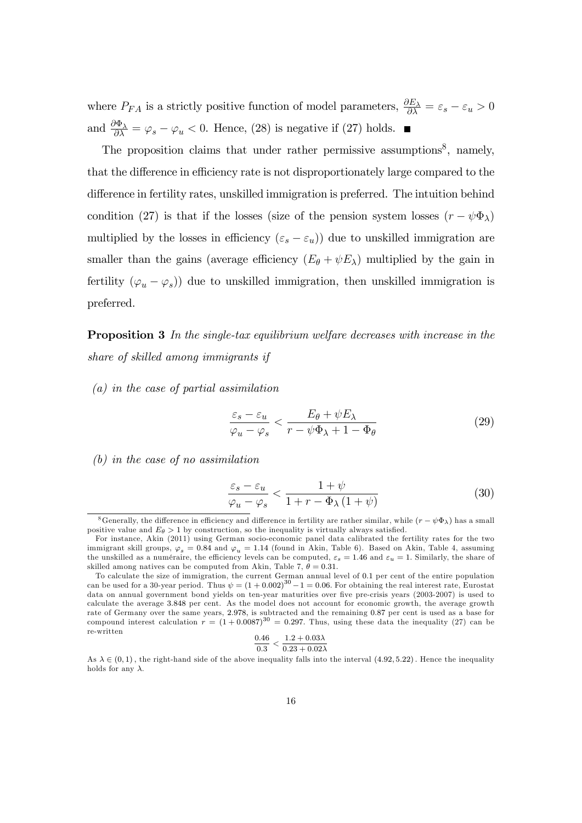where  $P_{FA}$  is a strictly positive function of model parameters,  $\frac{\partial E_{\lambda}}{\partial \lambda} = \varepsilon_s - \varepsilon_u > 0$ and  $\frac{\partial \Phi_{\lambda}}{\partial \lambda} = \varphi_s - \varphi_u < 0$ . Hence, (28) is negative if (27) holds.

The proposition claims that under rather permissive assumptions<sup>8</sup>, namely, that the difference in efficiency rate is not disproportionately large compared to the difference in fertility rates, unskilled immigration is preferred. The intuition behind condition (27) is that if the losses (size of the pension system losses  $(r - \psi \Phi_{\lambda})$ multiplied by the losses in efficiency  $(\varepsilon_s - \varepsilon_u)$  due to unskilled immigration are smaller than the gains (average efficiency  $(E_{\theta} + \psi E_{\lambda})$  multiplied by the gain in fertility  $(\varphi_u - \varphi_s)$  due to unskilled immigration, then unskilled immigration is preferred.

**Proposition 3** In the single-tax equilibrium welfare decreases with increase in the share of skilled among immigrants if

(a) in the case of partial assimilation

$$
\frac{\varepsilon_s - \varepsilon_u}{\varphi_u - \varphi_s} < \frac{E_\theta + \psi E_\lambda}{r - \psi \Phi_\lambda + 1 - \Phi_\theta} \tag{29}
$$

(b) in the case of no assimilation

$$
\frac{\varepsilon_s - \varepsilon_u}{\varphi_u - \varphi_s} < \frac{1 + \psi}{1 + r - \Phi_\lambda \left( 1 + \psi \right)}\tag{30}
$$

$$
\frac{0.46}{0.3} < \frac{1.2 + 0.03\lambda}{0.23 + 0.02\lambda}
$$

As  $\lambda \in (0,1)$ , the right-hand side of the above inequality falls into the interval  $(4.92, 5.22)$ . Hence the inequality holds for any  $\lambda$ .

<sup>&</sup>lt;sup>8</sup>Generally, the difference in efficiency and difference in fertility are rather similar, while  $(r - \psi \Phi_{\lambda})$  has a small positive value and  $E_{\theta} > 1$  by construction, so the inequality is virtually always satisfied.

For instance, Akin (2011) using German socio-economic panel data calibrated the fertility rates for the two immigrant skill groups,  $\varphi_s = 0.84$  and  $\varphi_u = 1.14$  (found in Akin, Table 6). Based on Akin, Table 4, assuming the unskilled as a numéraire, the efficiency levels can be computed,  $\varepsilon_s = 1.46$  and  $\varepsilon_u = 1$ . Similarly, the share of skilled among natives can be computed from Akin, Table 7,  $\theta = 0.31$ .

To calculate the size of immigration, the current German annual level of 0:1 per cent of the entire population can be used for a 30-year period. Thus  $\psi = (1 + 0.002)^{30} - 1 = 0.06$ . For obtaining the real interest rate, Eurostat data on annual government bond yields on ten-year maturities over five pre-crisis years (2003-2007) is used to calculate the average 3:848 per cent. As the model does not account for economic growth, the average growth rate of Germany over the same years, 2.978, is subtracted and the remaining 0.87 per cent is used as a base for compound interest calculation  $r = (1 + 0.0087)^{30} = 0.297$ . Thus, using these data the inequality (27) can be re-written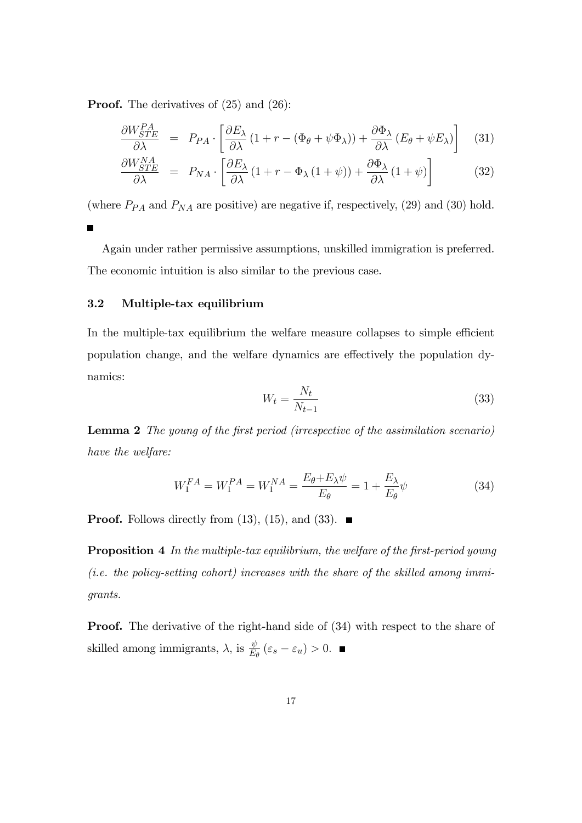Proof. The derivatives of (25) and (26):

$$
\frac{\partial W_{STE}^{PA}}{\partial \lambda} = P_{PA} \cdot \left[ \frac{\partial E_{\lambda}}{\partial \lambda} \left( 1 + r - (\Phi_{\theta} + \psi \Phi_{\lambda}) \right) + \frac{\partial \Phi_{\lambda}}{\partial \lambda} \left( E_{\theta} + \psi E_{\lambda} \right) \right] \tag{31}
$$

$$
\frac{\partial W_{STE}^{NA}}{\partial \lambda} = P_{NA} \cdot \left[ \frac{\partial E_{\lambda}}{\partial \lambda} (1 + r - \Phi_{\lambda} (1 + \psi)) + \frac{\partial \Phi_{\lambda}}{\partial \lambda} (1 + \psi) \right]
$$
(32)

(where  $P_{PA}$  and  $P_{NA}$  are positive) are negative if, respectively, (29) and (30) hold. Г

Again under rather permissive assumptions, unskilled immigration is preferred. The economic intuition is also similar to the previous case.

### 3.2 Multiple-tax equilibrium

In the multiple-tax equilibrium the welfare measure collapses to simple efficient population change, and the welfare dynamics are effectively the population dynamics:

$$
W_t = \frac{N_t}{N_{t-1}}\tag{33}
$$

Lemma 2 The young of the first period (irrespective of the assimilation scenario) have the welfare:

$$
W_1^{FA} = W_1^{PA} = W_1^{NA} = \frac{E_{\theta} + E_{\lambda}\psi}{E_{\theta}} = 1 + \frac{E_{\lambda}}{E_{\theta}}\psi
$$
 (34)

**Proof.** Follows directly from  $(13)$ ,  $(15)$ , and  $(33)$ .

**Proposition 4** In the multiple-tax equilibrium, the welfare of the first-period young (*i.e. the policy-setting cohort*) increases with the share of the skilled among immigrants.

**Proof.** The derivative of the right-hand side of  $(34)$  with respect to the share of skilled among immigrants,  $\lambda$ , is  $\frac{\psi}{E_{\theta}}(\varepsilon_s - \varepsilon_u) > 0$ .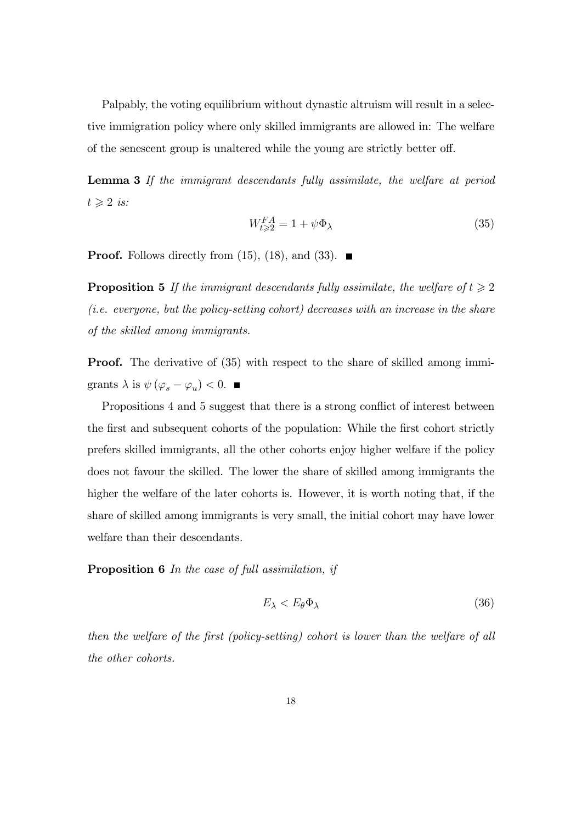Palpably, the voting equilibrium without dynastic altruism will result in a selective immigration policy where only skilled immigrants are allowed in: The welfare of the senescent group is unaltered while the young are strictly better off.

Lemma 3 If the immigrant descendants fully assimilate, the welfare at period  $t \geqslant 2$  is:

$$
W_{t \geqslant 2}^{FA} = 1 + \psi \Phi_{\lambda} \tag{35}
$$

**Proof.** Follows directly from (15), (18), and (33).  $\blacksquare$ 

**Proposition 5** If the immigrant descendants fully assimilate, the welfare of  $t \geq 2$ (i.e. everyone, but the policy-setting cohort) decreases with an increase in the share of the skilled among immigrants.

**Proof.** The derivative of (35) with respect to the share of skilled among immigrants  $\lambda$  is  $\psi(\varphi_s - \varphi_u) < 0$ .

Propositions 4 and 5 suggest that there is a strong conflict of interest between the first and subsequent cohorts of the population: While the first cohort strictly prefers skilled immigrants, all the other cohorts enjoy higher welfare if the policy does not favour the skilled. The lower the share of skilled among immigrants the higher the welfare of the later cohorts is. However, it is worth noting that, if the share of skilled among immigrants is very small, the initial cohort may have lower welfare than their descendants.

Proposition 6 In the case of full assimilation, if

$$
E_{\lambda} < E_{\theta} \Phi_{\lambda} \tag{36}
$$

then the welfare of the first (policy-setting) cohort is lower than the welfare of all the other cohorts.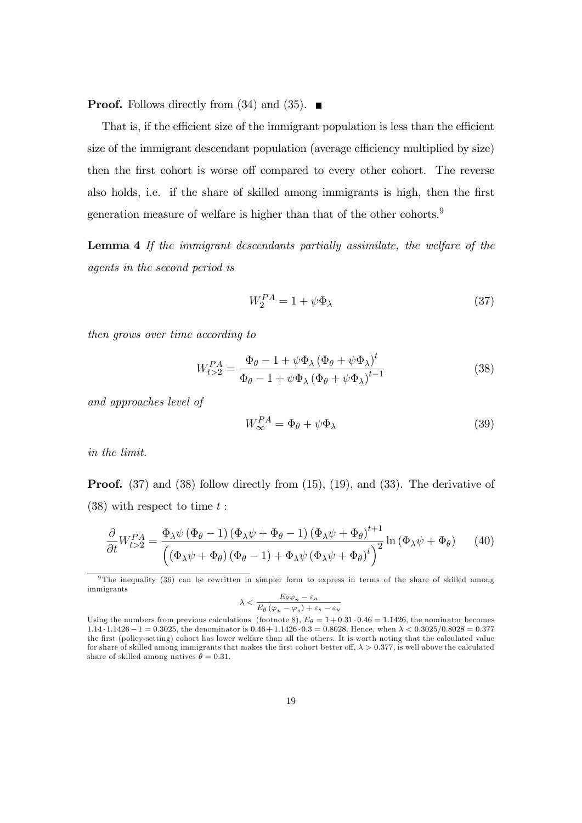**Proof.** Follows directly from (34) and (35).  $\blacksquare$ 

That is, if the efficient size of the immigrant population is less than the efficient size of the immigrant descendant population (average efficiency multiplied by size) then the first cohort is worse off compared to every other cohort. The reverse also holds, i.e. if the share of skilled among immigrants is high, then the first generation measure of welfare is higher than that of the other cohorts.<sup>9</sup>

Lemma 4 If the immigrant descendants partially assimilate, the welfare of the agents in the second period is

$$
W_2^{PA} = 1 + \psi \Phi_\lambda \tag{37}
$$

then grows over time according to

$$
W_{t>2}^{PA} = \frac{\Phi_{\theta} - 1 + \psi \Phi_{\lambda} (\Phi_{\theta} + \psi \Phi_{\lambda})^{t}}{\Phi_{\theta} - 1 + \psi \Phi_{\lambda} (\Phi_{\theta} + \psi \Phi_{\lambda})^{t-1}}
$$
(38)

and approaches level of

$$
W_{\infty}^{PA} = \Phi_{\theta} + \psi \Phi_{\lambda} \tag{39}
$$

in the limit.

**Proof.** (37) and (38) follow directly from (15), (19), and (33). The derivative of  $(38)$  with respect to time t:

$$
\frac{\partial}{\partial t} W_{t>2}^{PA} = \frac{\Phi_{\lambda}\psi\left(\Phi_{\theta}-1\right)\left(\Phi_{\lambda}\psi+\Phi_{\theta}-1\right)\left(\Phi_{\lambda}\psi+\Phi_{\theta}\right)^{t+1}}{\left(\left(\Phi_{\lambda}\psi+\Phi_{\theta}\right)\left(\Phi_{\theta}-1\right)+\Phi_{\lambda}\psi\left(\Phi_{\lambda}\psi+\Phi_{\theta}\right)^{t}\right)^{2}}\ln\left(\Phi_{\lambda}\psi+\Phi_{\theta}\right) \tag{40}
$$

$$
\lambda < \frac{E_{\theta} \varphi_u - \varepsilon_u}{E_{\theta} \left( \varphi_u - \varphi_s \right) + \varepsilon_s - \varepsilon_u}
$$

<sup>9</sup> The inequality (36) can be rewritten in simpler form to express in terms of the share of skilled among immigrants

Using the numbers from previous calculations (footnote 8),  $E_\theta = 1 + 0.31 \cdot 0.46 = 1.1426$ , the nominator becomes  $1.14 \cdot 1.1426 - 1 = 0.3025$ , the denominator is  $0.46 + 1.1426 \cdot 0.3 = 0.8028$ . Hence, when  $\lambda < 0.3025/0.8028 = 0.377$ the first (policy-setting) cohort has lower welfare than all the others. It is worth noting that the calculated value for share of skilled among immigrants that makes the first cohort better off,  $\lambda > 0.377$ , is well above the calculated share of skilled among natives  $\theta = 0.31$ .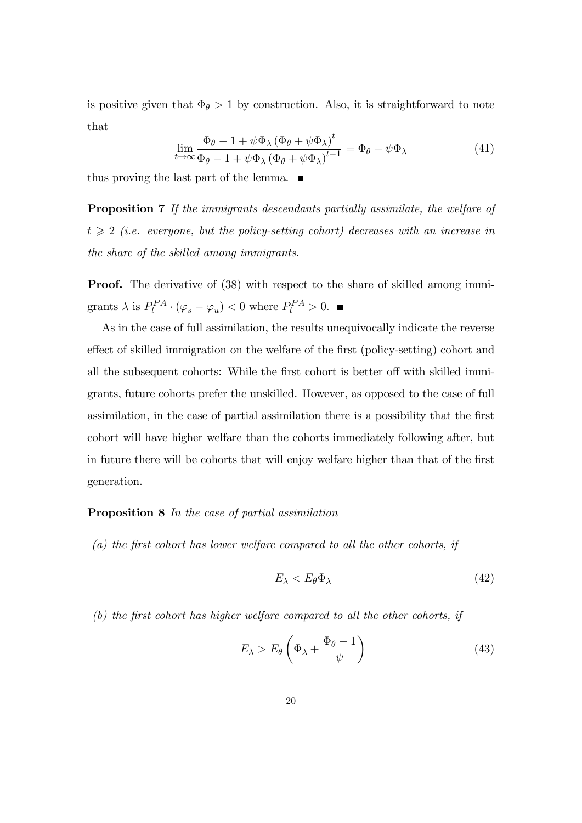is positive given that  $\Phi_{\theta} > 1$  by construction. Also, it is straightforward to note that

$$
\lim_{t \to \infty} \frac{\Phi_{\theta} - 1 + \psi \Phi_{\lambda} (\Phi_{\theta} + \psi \Phi_{\lambda})^{t}}{\Phi_{\theta} - 1 + \psi \Phi_{\lambda} (\Phi_{\theta} + \psi \Phi_{\lambda})^{t-1}} = \Phi_{\theta} + \psi \Phi_{\lambda}
$$
\n(41)

thus proving the last part of the lemma.  $\blacksquare$ 

Proposition 7 If the immigrants descendants partially assimilate, the welfare of  $t \geqslant 2$  (i.e. everyone, but the policy-setting cohort) decreases with an increase in the share of the skilled among immigrants.

**Proof.** The derivative of (38) with respect to the share of skilled among immigrants  $\lambda$  is  $P_t^{PA} \cdot (\varphi_s - \varphi_u) < 0$  where  $P_t^{PA} > 0$ .

As in the case of full assimilation, the results unequivocally indicate the reverse effect of skilled immigration on the welfare of the first (policy-setting) cohort and all the subsequent cohorts: While the first cohort is better off with skilled immigrants, future cohorts prefer the unskilled. However, as opposed to the case of full assimilation, in the case of partial assimilation there is a possibility that the first cohort will have higher welfare than the cohorts immediately following after, but in future there will be cohorts that will enjoy welfare higher than that of the first generation.

### Proposition 8 In the case of partial assimilation

 $(a)$  the first cohort has lower welfare compared to all the other cohorts, if

$$
E_{\lambda} < E_{\theta} \Phi_{\lambda} \tag{42}
$$

 $(b)$  the first cohort has higher welfare compared to all the other cohorts, if

$$
E_{\lambda} > E_{\theta} \left( \Phi_{\lambda} + \frac{\Phi_{\theta} - 1}{\psi} \right) \tag{43}
$$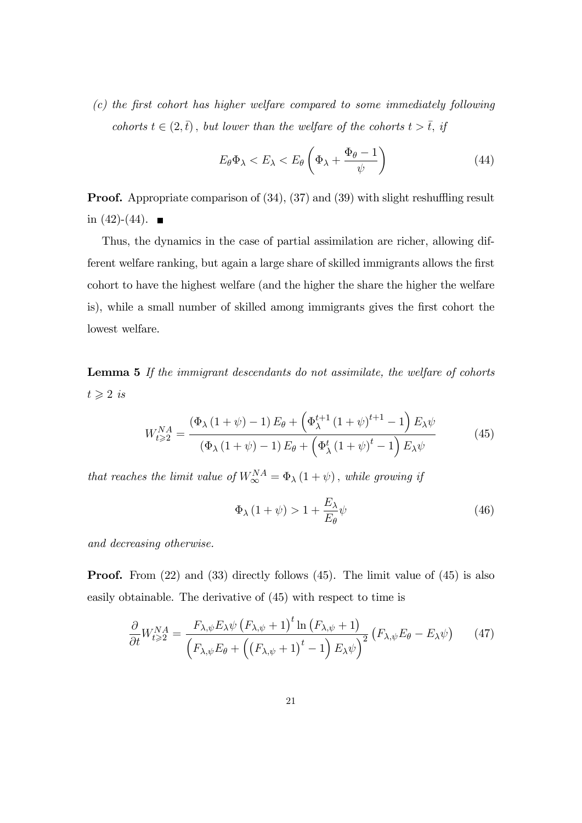$(c)$  the first cohort has higher welfare compared to some immediately following cohorts  $t \in (2,\bar{t})$ , but lower than the welfare of the cohorts  $t > \bar{t}$ , if

$$
E_{\theta} \Phi_{\lambda} < E_{\lambda} < E_{\theta} \left( \Phi_{\lambda} + \frac{\Phi_{\theta} - 1}{\psi} \right) \tag{44}
$$

**Proof.** Appropriate comparison of  $(34)$ ,  $(37)$  and  $(39)$  with slight reshuffling result in  $(42)-(44)$ .

Thus, the dynamics in the case of partial assimilation are richer, allowing different welfare ranking, but again a large share of skilled immigrants allows the first cohort to have the highest welfare (and the higher the share the higher the welfare is), while a small number of skilled among immigrants gives the Örst cohort the lowest welfare.

Lemma 5 If the immigrant descendants do not assimilate, the welfare of cohorts  $t \geqslant 2$  is

$$
W_{t\geqslant2}^{NA} = \frac{(\Phi_{\lambda} (1+\psi) - 1) E_{\theta} + (\Phi_{\lambda}^{t+1} (1+\psi)^{t+1} - 1) E_{\lambda} \psi}{(\Phi_{\lambda} (1+\psi) - 1) E_{\theta} + (\Phi_{\lambda}^{t} (1+\psi)^{t} - 1) E_{\lambda} \psi}
$$
(45)

that reaches the limit value of  $W_{\infty}^{NA} = \Phi_{\lambda} (1 + \psi)$ , while growing if

$$
\Phi_{\lambda} (1 + \psi) > 1 + \frac{E_{\lambda}}{E_{\theta}} \psi \tag{46}
$$

and decreasing otherwise.

**Proof.** From (22) and (33) directly follows (45). The limit value of (45) is also easily obtainable. The derivative of (45) with respect to time is

$$
\frac{\partial}{\partial t} W_{t \geqslant 2}^{NA} = \frac{F_{\lambda,\psi} E_{\lambda} \psi \left(F_{\lambda,\psi} + 1\right)^{t} \ln \left(F_{\lambda,\psi} + 1\right)}{\left(F_{\lambda,\psi} E_{\theta} + \left(\left(F_{\lambda,\psi} + 1\right)^{t} - 1\right) E_{\lambda} \psi\right)^{2}} \left(F_{\lambda,\psi} E_{\theta} - E_{\lambda} \psi\right) \tag{47}
$$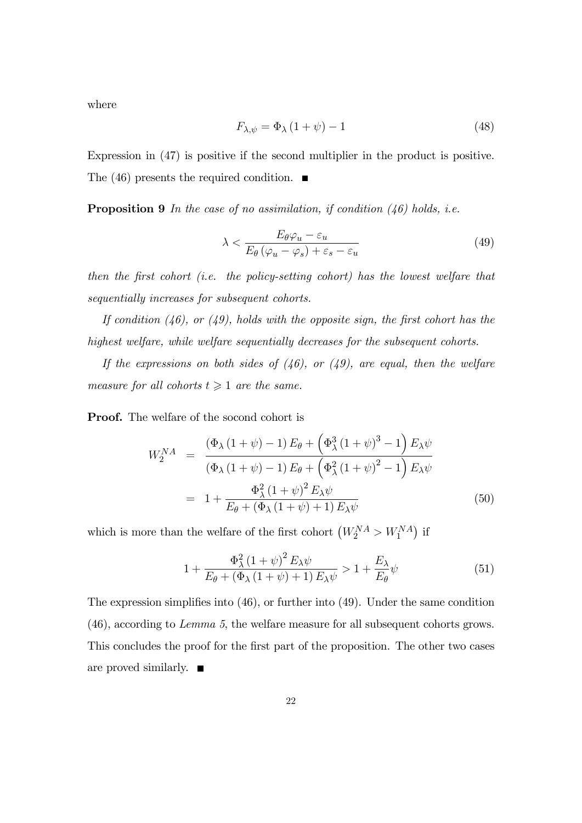where

$$
F_{\lambda,\psi} = \Phi_{\lambda} \left( 1 + \psi \right) - 1 \tag{48}
$$

Expression in (47) is positive if the second multiplier in the product is positive. The (46) presents the required condition.  $\blacksquare$ 

**Proposition 9** In the case of no assimilation, if condition  $(46)$  holds, i.e.

$$
\lambda < \frac{E_{\theta} \varphi_u - \varepsilon_u}{E_{\theta} \left( \varphi_u - \varphi_s \right) + \varepsilon_s - \varepsilon_u} \tag{49}
$$

then the first cohort (i.e. the policy-setting cohort) has the lowest welfare that sequentially increases for subsequent cohorts.

If condition  $(46)$ , or  $(49)$ , holds with the opposite sign, the first cohort has the highest welfare, while welfare sequentially decreases for the subsequent cohorts.

If the expressions on both sides of  $(46)$ , or  $(49)$ , are equal, then the welfare measure for all cohorts  $t \geq 1$  are the same.

Proof. The welfare of the socond cohort is

$$
W_2^{NA} = \frac{(\Phi_{\lambda} (1 + \psi) - 1) E_{\theta} + (\Phi_{\lambda}^3 (1 + \psi)^3 - 1) E_{\lambda} \psi}{(\Phi_{\lambda} (1 + \psi) - 1) E_{\theta} + (\Phi_{\lambda}^2 (1 + \psi)^2 - 1) E_{\lambda} \psi}
$$
  
= 
$$
1 + \frac{\Phi_{\lambda}^2 (1 + \psi)^2 E_{\lambda} \psi}{E_{\theta} + (\Phi_{\lambda} (1 + \psi) + 1) E_{\lambda} \psi}
$$
(50)

which is more than the welfare of the first cohort  $\left(W_2^{NA} > W_1^{NA}\right)$  if

$$
1 + \frac{\Phi_{\lambda}^{2} (1 + \psi)^{2} E_{\lambda} \psi}{E_{\theta} + (\Phi_{\lambda} (1 + \psi) + 1) E_{\lambda} \psi} > 1 + \frac{E_{\lambda}}{E_{\theta}} \psi
$$
\n(51)

The expression simplifies into  $(46)$ , or further into  $(49)$ . Under the same condition (46), according to Lemma 5, the welfare measure for all subsequent cohorts grows. This concludes the proof for the first part of the proposition. The other two cases are proved similarly.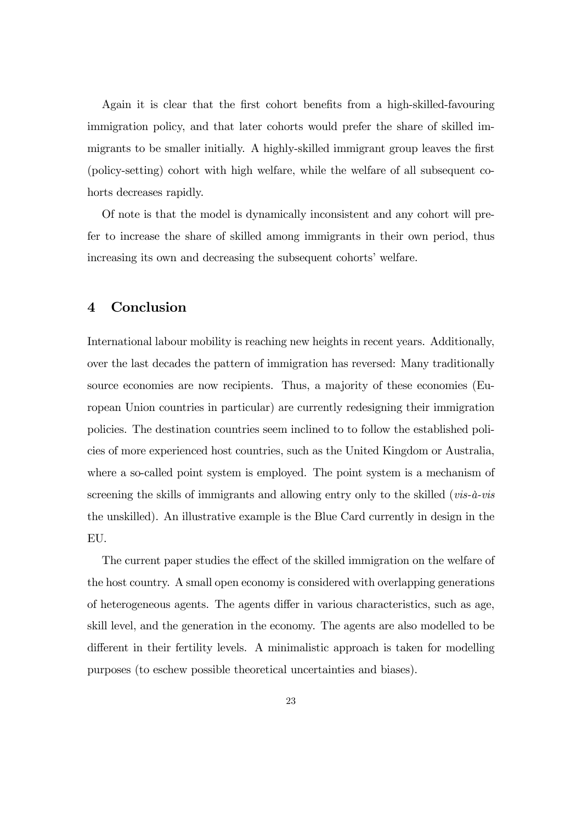Again it is clear that the first cohort benefits from a high-skilled-favouring immigration policy, and that later cohorts would prefer the share of skilled immigrants to be smaller initially. A highly-skilled immigrant group leaves the first (policy-setting) cohort with high welfare, while the welfare of all subsequent cohorts decreases rapidly.

Of note is that the model is dynamically inconsistent and any cohort will prefer to increase the share of skilled among immigrants in their own period, thus increasing its own and decreasing the subsequent cohorts' welfare.

## 4 Conclusion

International labour mobility is reaching new heights in recent years. Additionally, over the last decades the pattern of immigration has reversed: Many traditionally source economies are now recipients. Thus, a majority of these economies (European Union countries in particular) are currently redesigning their immigration policies. The destination countries seem inclined to to follow the established policies of more experienced host countries, such as the United Kingdom or Australia, where a so-called point system is employed. The point system is a mechanism of screening the skills of immigrants and allowing entry only to the skilled ( $vis-\hat{a}-vis$ the unskilled). An illustrative example is the Blue Card currently in design in the EU.

The current paper studies the effect of the skilled immigration on the welfare of the host country. A small open economy is considered with overlapping generations of heterogeneous agents. The agents differ in various characteristics, such as age, skill level, and the generation in the economy. The agents are also modelled to be different in their fertility levels. A minimalistic approach is taken for modelling purposes (to eschew possible theoretical uncertainties and biases).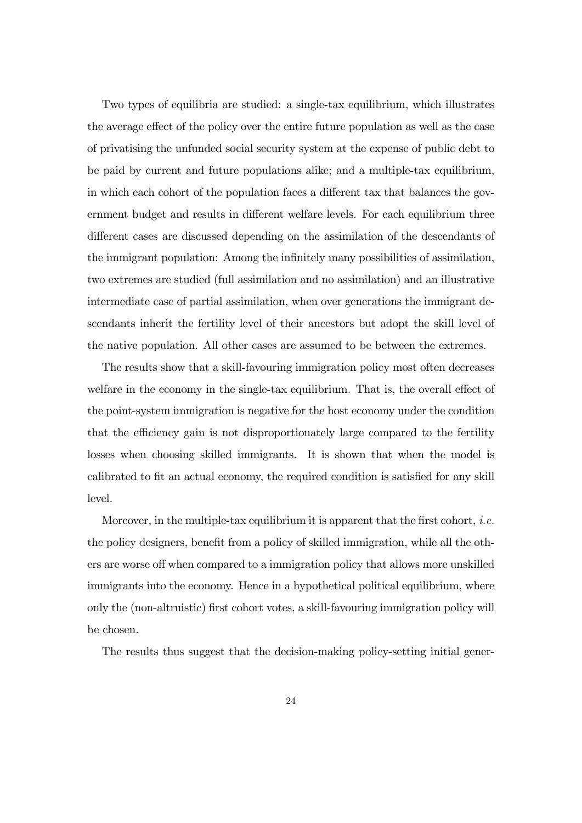Two types of equilibria are studied: a single-tax equilibrium, which illustrates the average effect of the policy over the entire future population as well as the case of privatising the unfunded social security system at the expense of public debt to be paid by current and future populations alike; and a multiple-tax equilibrium, in which each cohort of the population faces a different tax that balances the government budget and results in different welfare levels. For each equilibrium three different cases are discussed depending on the assimilation of the descendants of the immigrant population: Among the infinitely many possibilities of assimilation, two extremes are studied (full assimilation and no assimilation) and an illustrative intermediate case of partial assimilation, when over generations the immigrant descendants inherit the fertility level of their ancestors but adopt the skill level of the native population. All other cases are assumed to be between the extremes.

The results show that a skill-favouring immigration policy most often decreases welfare in the economy in the single-tax equilibrium. That is, the overall effect of the point-system immigration is negative for the host economy under the condition that the efficiency gain is not disproportionately large compared to the fertility losses when choosing skilled immigrants. It is shown that when the model is calibrated to fit an actual economy, the required condition is satisfied for any skill level.

Moreover, in the multiple-tax equilibrium it is apparent that the first cohort, *i.e.* the policy designers, benefit from a policy of skilled immigration, while all the others are worse off when compared to a immigration policy that allows more unskilled immigrants into the economy. Hence in a hypothetical political equilibrium, where only the (non-altruistic) Örst cohort votes, a skill-favouring immigration policy will be chosen.

The results thus suggest that the decision-making policy-setting initial gener-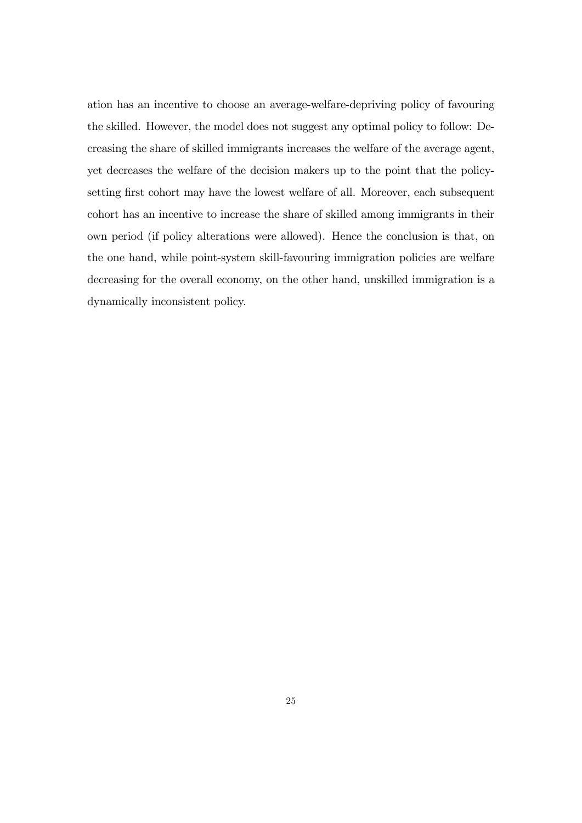ation has an incentive to choose an average-welfare-depriving policy of favouring the skilled. However, the model does not suggest any optimal policy to follow: Decreasing the share of skilled immigrants increases the welfare of the average agent, yet decreases the welfare of the decision makers up to the point that the policysetting first cohort may have the lowest welfare of all. Moreover, each subsequent cohort has an incentive to increase the share of skilled among immigrants in their own period (if policy alterations were allowed). Hence the conclusion is that, on the one hand, while point-system skill-favouring immigration policies are welfare decreasing for the overall economy, on the other hand, unskilled immigration is a dynamically inconsistent policy.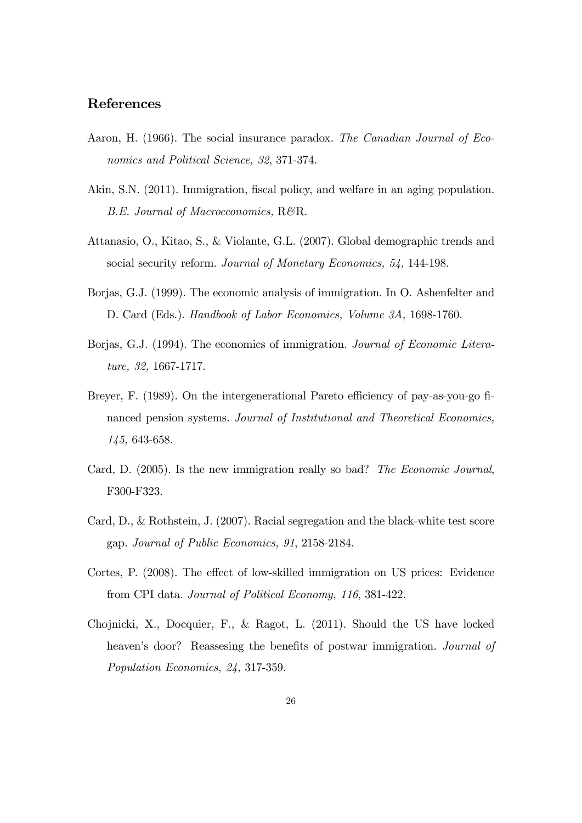# References

- Aaron, H. (1966). The social insurance paradox. The Canadian Journal of Economics and Political Science, 32, 371-374.
- Akin, S.N. (2011). Immigration, fiscal policy, and welfare in an aging population. B.E. Journal of Macroeconomics, R&R.
- Attanasio, O., Kitao, S., & Violante, G.L. (2007). Global demographic trends and social security reform. Journal of Monetary Economics, 54, 144-198.
- Borjas, G.J. (1999). The economic analysis of immigration. In O. Ashenfelter and D. Card (Eds.). Handbook of Labor Economics, Volume 3A, 1698-1760.
- Borjas, G.J. (1994). The economics of immigration. Journal of Economic Literature, 32, 1667-1717.
- Breyer, F. (1989). On the intergenerational Pareto efficiency of pay-as-you-go financed pension systems. Journal of Institutional and Theoretical Economics, 145, 643-658.
- Card, D. (2005). Is the new immigration really so bad? The Economic Journal, F300-F323.
- Card, D., & Rothstein, J. (2007). Racial segregation and the black-white test score gap. Journal of Public Economics, 91, 2158-2184.
- Cortes, P. (2008). The effect of low-skilled immigration on US prices: Evidence from CPI data. Journal of Political Economy, 116, 381-422.
- Chojnicki, X., Docquier, F., & Ragot, L. (2011). Should the US have locked heaven's door? Reassesing the benefits of postwar immigration. Journal of Population Economics, 24, 317-359.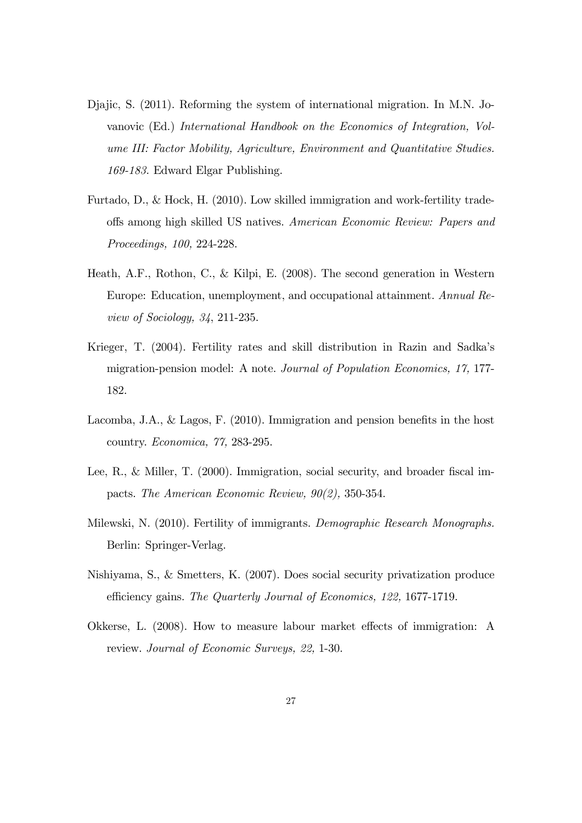- Djajic, S. (2011). Reforming the system of international migration. In M.N. Jovanovic (Ed.) International Handbook on the Economics of Integration, Volume III: Factor Mobility, Agriculture, Environment and Quantitative Studies. 169-183. Edward Elgar Publishing.
- Furtado, D., & Hock, H. (2010). Low skilled immigration and work-fertility tradeoffs among high skilled US natives. American Economic Review: Papers and Proceedings, 100, 224-228.
- Heath, A.F., Rothon, C., & Kilpi, E. (2008). The second generation in Western Europe: Education, unemployment, and occupational attainment. Annual Review of Sociology, 34, 211-235.
- Krieger, T. (2004). Fertility rates and skill distribution in Razin and Sadka's migration-pension model: A note. Journal of Population Economics, 17, 177- 182.
- Lacomba, J.A., & Lagos, F.  $(2010)$ . Immigration and pension benefits in the host country. Economica, 77, 283-295.
- Lee, R., & Miller, T.  $(2000)$ . Immigration, social security, and broader fiscal impacts. The American Economic Review, 90(2), 350-354.
- Milewski, N. (2010). Fertility of immigrants. Demographic Research Monographs. Berlin: Springer-Verlag.
- Nishiyama, S., & Smetters, K. (2007). Does social security privatization produce efficiency gains. The Quarterly Journal of Economics, 122, 1677-1719.
- Okkerse, L. (2008). How to measure labour market effects of immigration: A review. Journal of Economic Surveys, 22, 1-30.